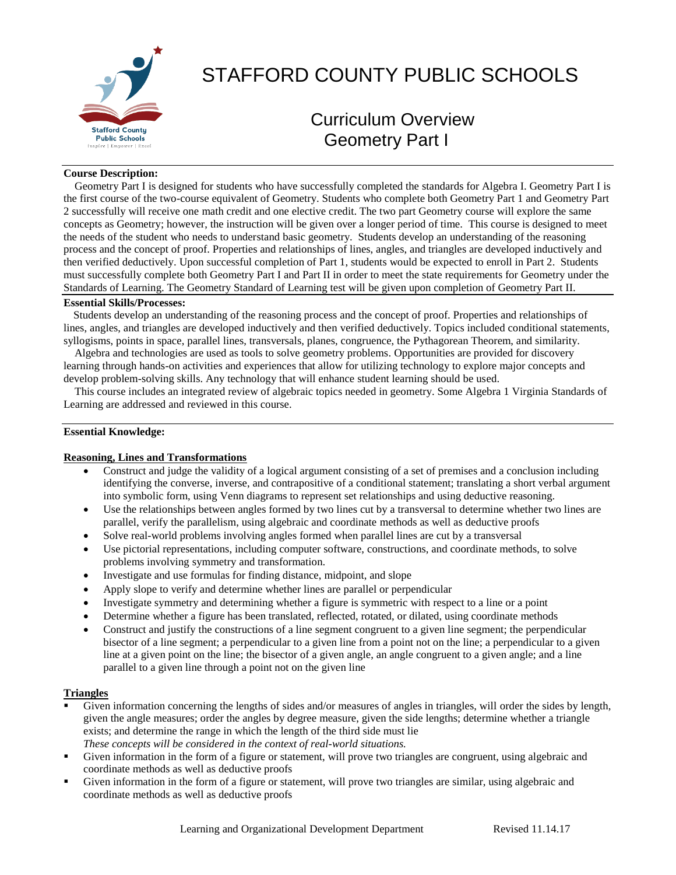

# STAFFORD COUNTY PUBLIC SCHOOLS

# Curriculum Overview Geometry Part I

### **Course Description:**

 Geometry Part I is designed for students who have successfully completed the standards for Algebra I. Geometry Part I is the first course of the two-course equivalent of Geometry. Students who complete both Geometry Part 1 and Geometry Part 2 successfully will receive one math credit and one elective credit. The two part Geometry course will explore the same concepts as Geometry; however, the instruction will be given over a longer period of time. This course is designed to meet the needs of the student who needs to understand basic geometry. Students develop an understanding of the reasoning process and the concept of proof. Properties and relationships of lines, angles, and triangles are developed inductively and then verified deductively. Upon successful completion of Part 1, students would be expected to enroll in Part 2. Students must successfully complete both Geometry Part I and Part II in order to meet the state requirements for Geometry under the Standards of Learning. The Geometry Standard of Learning test will be given upon completion of Geometry Part II.

#### **Essential Skills/Processes:**

Students develop an understanding of the reasoning process and the concept of proof. Properties and relationships of lines, angles, and triangles are developed inductively and then verified deductively. Topics included conditional statements, syllogisms, points in space, parallel lines, transversals, planes, congruence, the Pythagorean Theorem, and similarity.

 Algebra and technologies are used as tools to solve geometry problems. Opportunities are provided for discovery learning through hands-on activities and experiences that allow for utilizing technology to explore major concepts and develop problem-solving skills. Any technology that will enhance student learning should be used.

 This course includes an integrated review of algebraic topics needed in geometry. Some Algebra 1 Virginia Standards of Learning are addressed and reviewed in this course.

#### **Essential Knowledge:**

#### **Reasoning, Lines and Transformations**

- Construct and judge the validity of a logical argument consisting of a set of premises and a conclusion including identifying the converse, inverse, and contrapositive of a conditional statement; translating a short verbal argument into symbolic form, using Venn diagrams to represent set relationships and using deductive reasoning.
- Use the relationships between angles formed by two lines cut by a transversal to determine whether two lines are parallel, verify the parallelism, using algebraic and coordinate methods as well as deductive proofs
- Solve real-world problems involving angles formed when parallel lines are cut by a transversal
- Use pictorial representations, including computer software, constructions, and coordinate methods, to solve problems involving symmetry and transformation.
- Investigate and use formulas for finding distance, midpoint, and slope
- Apply slope to verify and determine whether lines are parallel or perpendicular
- Investigate symmetry and determining whether a figure is symmetric with respect to a line or a point
- Determine whether a figure has been translated, reflected, rotated, or dilated, using coordinate methods
- Construct and justify the constructions of a line segment congruent to a given line segment; the perpendicular bisector of a line segment; a perpendicular to a given line from a point not on the line; a perpendicular to a given line at a given point on the line; the bisector of a given angle, an angle congruent to a given angle; and a line parallel to a given line through a point not on the given line

#### **Triangles**

- Given information concerning the lengths of sides and/or measures of angles in triangles, will order the sides by length, given the angle measures; order the angles by degree measure, given the side lengths; determine whether a triangle exists; and determine the range in which the length of the third side must lie *These concepts will be considered in the context of real-world situations.*
- Given information in the form of a figure or statement, will prove two triangles are congruent, using algebraic and coordinate methods as well as deductive proofs
- Given information in the form of a figure or statement, will prove two triangles are similar, using algebraic and coordinate methods as well as deductive proofs